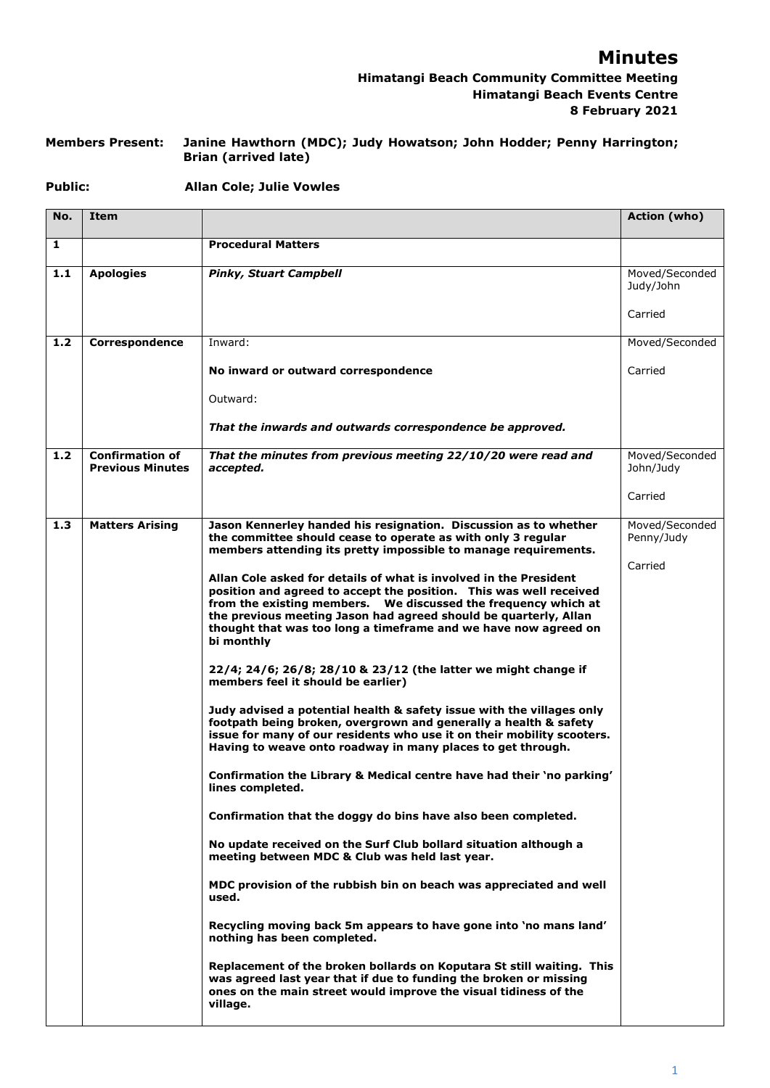## **Minutes**

## **Himatangi Beach Community Committee Meeting Himatangi Beach Events Centre 8 February 2021**

#### **Members Present: Janine Hawthorn (MDC); Judy Howatson; John Hodder; Penny Harrington; Brian (arrived late)**

#### **Public: Allan Cole; Julie Vowles**

| No. | Item                                              |                                                                                                                                                                                                                                                                                                                                                                 | Action (who)                 |
|-----|---------------------------------------------------|-----------------------------------------------------------------------------------------------------------------------------------------------------------------------------------------------------------------------------------------------------------------------------------------------------------------------------------------------------------------|------------------------------|
| 1   |                                                   | <b>Procedural Matters</b>                                                                                                                                                                                                                                                                                                                                       |                              |
| 1.1 | <b>Apologies</b>                                  | <b>Pinky, Stuart Campbell</b>                                                                                                                                                                                                                                                                                                                                   | Moved/Seconded<br>Judy/John  |
|     |                                                   |                                                                                                                                                                                                                                                                                                                                                                 | Carried                      |
| 1.2 | Correspondence                                    | Inward:                                                                                                                                                                                                                                                                                                                                                         | Moved/Seconded               |
|     |                                                   | No inward or outward correspondence                                                                                                                                                                                                                                                                                                                             | Carried                      |
|     |                                                   | Outward:                                                                                                                                                                                                                                                                                                                                                        |                              |
|     |                                                   | That the inwards and outwards correspondence be approved.                                                                                                                                                                                                                                                                                                       |                              |
| 1.2 | <b>Confirmation of</b><br><b>Previous Minutes</b> | That the minutes from previous meeting 22/10/20 were read and<br>accepted.                                                                                                                                                                                                                                                                                      | Moved/Seconded<br>John/Judy  |
|     |                                                   |                                                                                                                                                                                                                                                                                                                                                                 | Carried                      |
| 1.3 | <b>Matters Arising</b>                            | Jason Kennerley handed his resignation. Discussion as to whether<br>the committee should cease to operate as with only 3 regular<br>members attending its pretty impossible to manage requirements.                                                                                                                                                             | Moved/Seconded<br>Penny/Judy |
|     |                                                   | Allan Cole asked for details of what is involved in the President<br>position and agreed to accept the position. This was well received<br>from the existing members.  We discussed the frequency which at<br>the previous meeting Jason had agreed should be quarterly, Allan<br>thought that was too long a timeframe and we have now agreed on<br>bi monthly | Carried                      |
|     |                                                   | 22/4; 24/6; 26/8; 28/10 & 23/12 (the latter we might change if<br>members feel it should be earlier)                                                                                                                                                                                                                                                            |                              |
|     |                                                   | Judy advised a potential health & safety issue with the villages only<br>footpath being broken, overgrown and generally a health & safety<br>issue for many of our residents who use it on their mobility scooters.<br>Having to weave onto roadway in many places to get through.                                                                              |                              |
|     |                                                   | Confirmation the Library & Medical centre have had their 'no parking'<br>lines completed.                                                                                                                                                                                                                                                                       |                              |
|     |                                                   | Confirmation that the doggy do bins have also been completed.                                                                                                                                                                                                                                                                                                   |                              |
|     |                                                   | No update received on the Surf Club bollard situation although a<br>meeting between MDC & Club was held last year.                                                                                                                                                                                                                                              |                              |
|     |                                                   | MDC provision of the rubbish bin on beach was appreciated and well<br>used.                                                                                                                                                                                                                                                                                     |                              |
|     |                                                   | Recycling moving back 5m appears to have gone into 'no mans land'<br>nothing has been completed.                                                                                                                                                                                                                                                                |                              |
|     |                                                   | Replacement of the broken bollards on Koputara St still waiting. This<br>was agreed last year that if due to funding the broken or missing<br>ones on the main street would improve the visual tidiness of the<br>village.                                                                                                                                      |                              |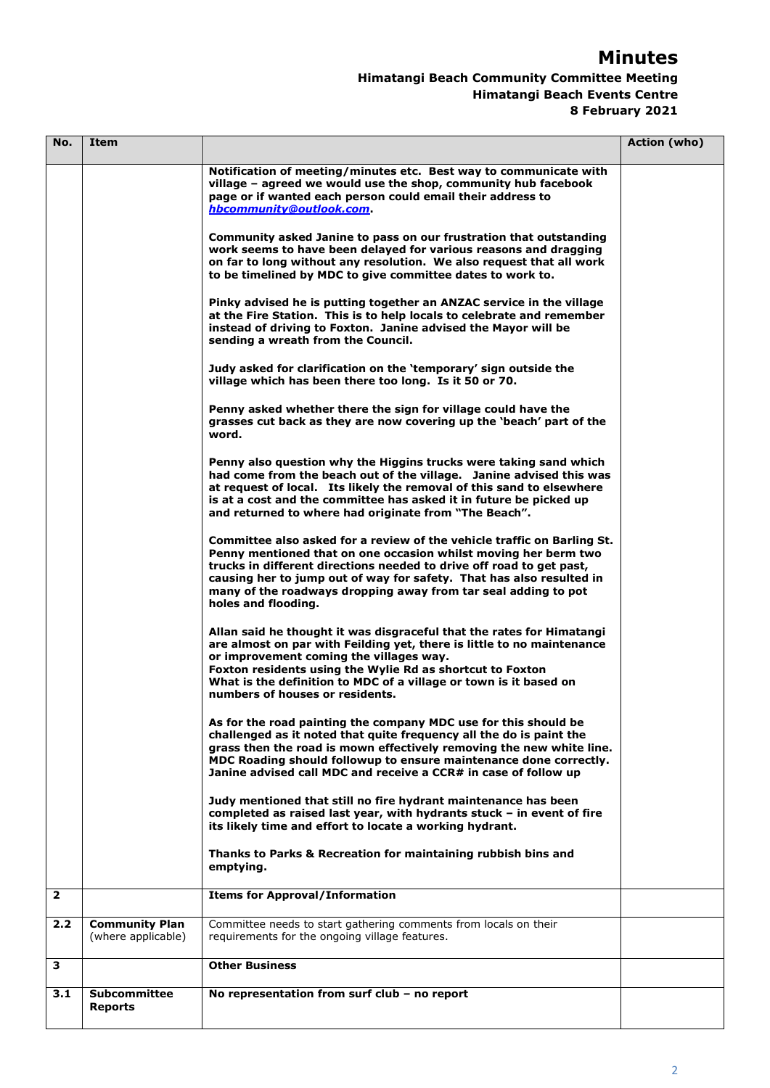# **Minutes**

## **Himatangi Beach Community Committee Meeting Himatangi Beach Events Centre 8 February 2021**

| No.            | Item                                        |                                                                                                                                                                                                                                                                                                                                                                                     | Action (who) |
|----------------|---------------------------------------------|-------------------------------------------------------------------------------------------------------------------------------------------------------------------------------------------------------------------------------------------------------------------------------------------------------------------------------------------------------------------------------------|--------------|
|                |                                             | Notification of meeting/minutes etc. Best way to communicate with<br>village - agreed we would use the shop, community hub facebook<br>page or if wanted each person could email their address to<br>hbcommunity@outlook.com                                                                                                                                                        |              |
|                |                                             | Community asked Janine to pass on our frustration that outstanding<br>work seems to have been delayed for various reasons and dragging<br>on far to long without any resolution. We also request that all work<br>to be timelined by MDC to give committee dates to work to.                                                                                                        |              |
|                |                                             | Pinky advised he is putting together an ANZAC service in the village<br>at the Fire Station. This is to help locals to celebrate and remember<br>instead of driving to Foxton. Janine advised the Mayor will be<br>sending a wreath from the Council.                                                                                                                               |              |
|                |                                             | Judy asked for clarification on the 'temporary' sign outside the<br>village which has been there too long. Is it 50 or 70.                                                                                                                                                                                                                                                          |              |
|                |                                             | Penny asked whether there the sign for village could have the<br>grasses cut back as they are now covering up the 'beach' part of the<br>word.                                                                                                                                                                                                                                      |              |
|                |                                             | Penny also question why the Higgins trucks were taking sand which<br>had come from the beach out of the village. Janine advised this was<br>at request of local. Its likely the removal of this sand to elsewhere<br>is at a cost and the committee has asked it in future be picked up<br>and returned to where had originate from "The Beach".                                    |              |
|                |                                             | Committee also asked for a review of the vehicle traffic on Barling St.<br>Penny mentioned that on one occasion whilst moving her berm two<br>trucks in different directions needed to drive off road to get past,<br>causing her to jump out of way for safety. That has also resulted in<br>many of the roadways dropping away from tar seal adding to pot<br>holes and flooding. |              |
|                |                                             | Allan said he thought it was disgraceful that the rates for Himatangi<br>are almost on par with Feilding yet, there is little to no maintenance<br>or improvement coming the villages way.<br>Foxton residents using the Wylie Rd as shortcut to Foxton<br>What is the definition to MDC of a village or town is it based on<br>numbers of houses or residents.                     |              |
|                |                                             | As for the road painting the company MDC use for this should be<br>challenged as it noted that quite frequency all the do is paint the<br>grass then the road is mown effectively removing the new white line.<br>MDC Roading should followup to ensure maintenance done correctly.<br>Janine advised call MDC and receive a CCR# in case of follow up                              |              |
|                |                                             | Judy mentioned that still no fire hydrant maintenance has been<br>completed as raised last year, with hydrants stuck - in event of fire<br>its likely time and effort to locate a working hydrant.                                                                                                                                                                                  |              |
|                |                                             | Thanks to Parks & Recreation for maintaining rubbish bins and<br>emptying.                                                                                                                                                                                                                                                                                                          |              |
| $\overline{2}$ |                                             | <b>Items for Approval/Information</b>                                                                                                                                                                                                                                                                                                                                               |              |
| 2.2            | <b>Community Plan</b><br>(where applicable) | Committee needs to start gathering comments from locals on their<br>requirements for the ongoing village features.                                                                                                                                                                                                                                                                  |              |
| 3              |                                             | <b>Other Business</b>                                                                                                                                                                                                                                                                                                                                                               |              |
| 3.1            | <b>Subcommittee</b><br><b>Reports</b>       | No representation from surf club - no report                                                                                                                                                                                                                                                                                                                                        |              |